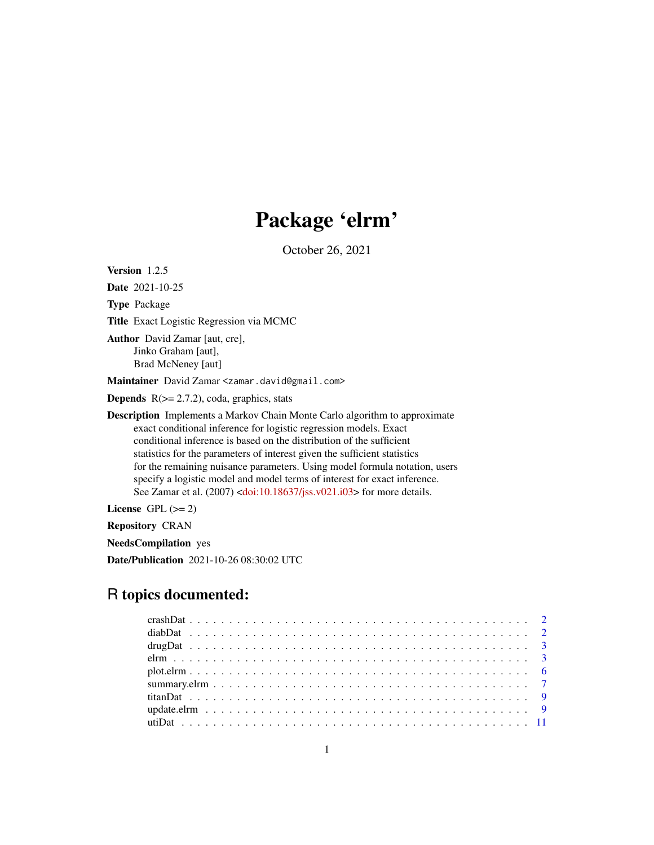# Package 'elrm'

October 26, 2021

<span id="page-0-0"></span>Version 1.2.5

Date 2021-10-25

Type Package

Title Exact Logistic Regression via MCMC

Author David Zamar [aut, cre], Jinko Graham [aut], Brad McNeney [aut]

Maintainer David Zamar <zamar.david@gmail.com>

**Depends**  $R$ ( $>=$  2.7.2), coda, graphics, stats

Description Implements a Markov Chain Monte Carlo algorithm to approximate exact conditional inference for logistic regression models. Exact conditional inference is based on the distribution of the sufficient statistics for the parameters of interest given the sufficient statistics for the remaining nuisance parameters. Using model formula notation, users specify a logistic model and model terms of interest for exact inference. See Zamar et al. (2007) [<doi:10.18637/jss.v021.i03>](https://doi.org/10.18637/jss.v021.i03) for more details.

License GPL  $(>= 2)$ 

Repository CRAN

NeedsCompilation yes

Date/Publication 2021-10-26 08:30:02 UTC

# R topics documented: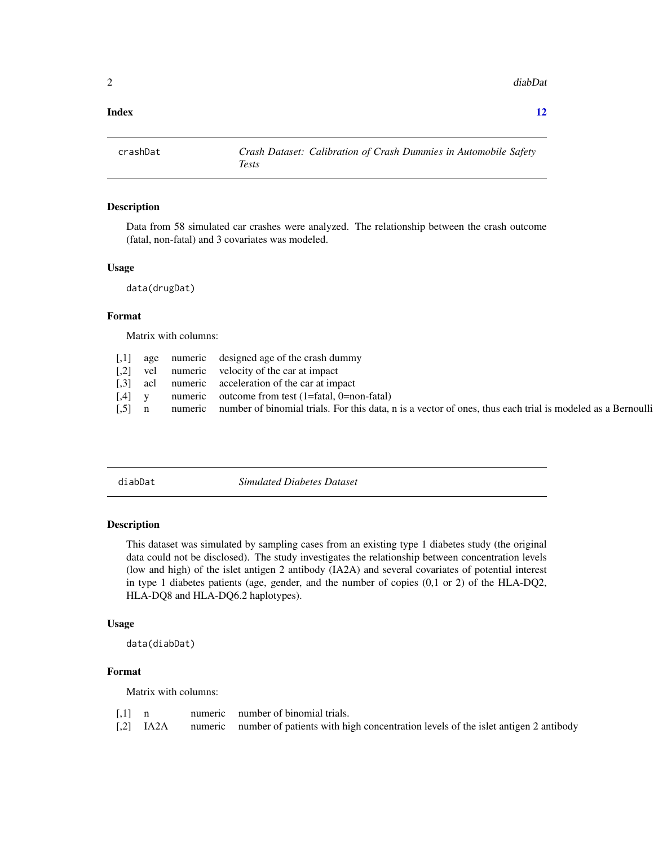<span id="page-1-0"></span>2 diabDate of the contract of the contract of the contract of the contract of the contract of the contract of the contract of the contract of the contract of the contract of the contract of the contract of the contract of

#### **Index** [12](#page-11-0)

crashDat *Crash Dataset: Calibration of Crash Dummies in Automobile Safety Tests*

# Description

Data from 58 simulated car crashes were analyzed. The relationship between the crash outcome (fatal, non-fatal) and 3 covariates was modeled.

#### Usage

data(drugDat)

#### Format

Matrix with columns:

|                       |  | [,1] age numeric designed age of the crash dummy                                                                   |
|-----------------------|--|--------------------------------------------------------------------------------------------------------------------|
|                       |  | [,2] vel numeric velocity of the car at impact                                                                     |
|                       |  | $[0.3]$ acl numeric acceleration of the car at impact                                                              |
| $\left[ .4 \right]$ y |  | numeric outcome from test (1=fatal, 0=non-fatal)                                                                   |
| $\lceil .5 \rceil$ n  |  | numeric number of binomial trials. For this data, n is a vector of ones, thus each trial is modeled as a Bernoulli |
|                       |  |                                                                                                                    |

diabDat *Simulated Diabetes Dataset*

# Description

This dataset was simulated by sampling cases from an existing type 1 diabetes study (the original data could not be disclosed). The study investigates the relationship between concentration levels (low and high) of the islet antigen 2 antibody (IA2A) and several covariates of potential interest in type 1 diabetes patients (age, gender, and the number of copies (0,1 or 2) of the HLA-DQ2, HLA-DQ8 and HLA-DQ6.2 haplotypes).

#### Usage

data(diabDat)

# Format

Matrix with columns:

| $[0,1]$ n |  | numeric number of binomial trials.                                                                  |
|-----------|--|-----------------------------------------------------------------------------------------------------|
|           |  | [.2] IA2A numeric number of patients with high concentration levels of the islet antigen 2 antibody |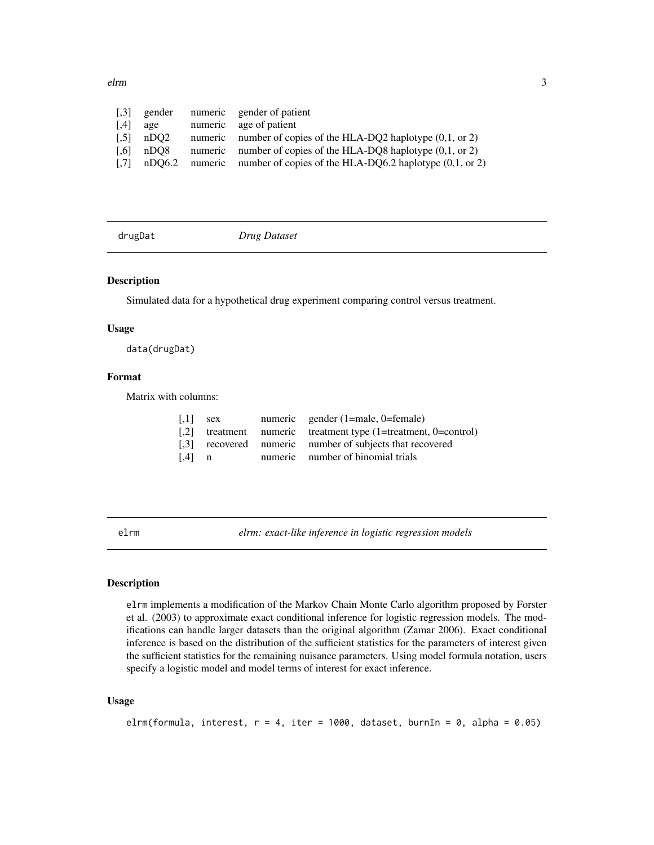<span id="page-2-0"></span>elrm 3

| $\left[ .3 \right]$ | gender | numeric gender of patient                                                        |
|---------------------|--------|----------------------------------------------------------------------------------|
| [4]                 | age    | numeric age of patient                                                           |
| $\left[ .5 \right]$ | nDO2   | numeric number of copies of the HLA-DQ2 haplotype $(0,1, \text{ or } 2)$         |
| $\left[ .6 \right]$ | nDO8   | numeric number of copies of the HLA-DQ8 haplotype $(0,1,$ or 2)                  |
|                     |        | [.7] nDQ6.2 numeric number of copies of the HLA-DQ6.2 haplotype $(0,1, 0, 0, 2)$ |

drugDat *Drug Dataset*

# Description

Simulated data for a hypothetical drug experiment comparing control versus treatment.

# Usage

data(drugDat)

# Format

Matrix with columns:

| $\left\lceil .1 \right\rceil$ | sex | numeric gender (1=male, 0=female)                                   |
|-------------------------------|-----|---------------------------------------------------------------------|
|                               |     | [,2] treatment numeric treatment type $(1 = t$ reatment, 0=control) |
|                               |     | [.3] recovered numeric number of subjects that recovered            |
| $\lceil .4 \rceil$ n          |     | numeric number of binomial trials                                   |

<span id="page-2-1"></span>elrm *elrm: exact-like inference in logistic regression models*

#### Description

elrm implements a modification of the Markov Chain Monte Carlo algorithm proposed by Forster et al. (2003) to approximate exact conditional inference for logistic regression models. The modifications can handle larger datasets than the original algorithm (Zamar 2006). Exact conditional inference is based on the distribution of the sufficient statistics for the parameters of interest given the sufficient statistics for the remaining nuisance parameters. Using model formula notation, users specify a logistic model and model terms of interest for exact inference.

#### Usage

```
elrm(formula, interest, r = 4, iter = 1000, dataset, burnIn = 0, alpha = 0.05)
```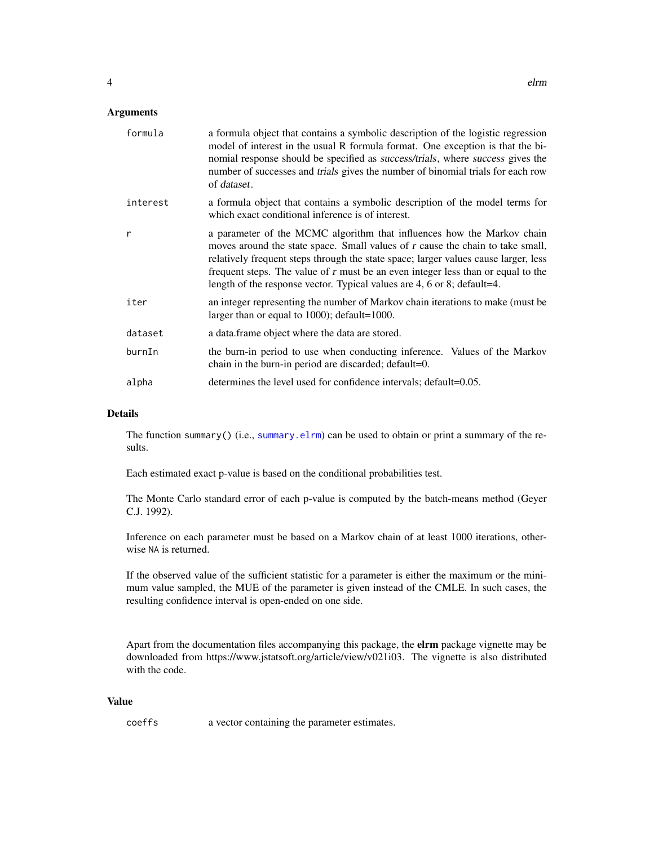<span id="page-3-0"></span>

| formula  | a formula object that contains a symbolic description of the logistic regression<br>model of interest in the usual R formula format. One exception is that the bi-<br>nomial response should be specified as <i>success/trials</i> , where <i>success</i> gives the<br>number of successes and <i>trials</i> gives the number of binomial trials for each row<br>of dataset.                                   |  |  |
|----------|----------------------------------------------------------------------------------------------------------------------------------------------------------------------------------------------------------------------------------------------------------------------------------------------------------------------------------------------------------------------------------------------------------------|--|--|
| interest | a formula object that contains a symbolic description of the model terms for<br>which exact conditional inference is of interest.                                                                                                                                                                                                                                                                              |  |  |
| r        | a parameter of the MCMC algorithm that influences how the Markov chain<br>moves around the state space. Small values of r cause the chain to take small,<br>relatively frequent steps through the state space; larger values cause larger, less<br>frequent steps. The value of r must be an even integer less than or equal to the<br>length of the response vector. Typical values are 4, 6 or 8; default=4. |  |  |
| iter     | an integer representing the number of Markov chain iterations to make (must be<br>larger than or equal to 1000); default=1000.                                                                                                                                                                                                                                                                                 |  |  |
| dataset  | a data. frame object where the data are stored.                                                                                                                                                                                                                                                                                                                                                                |  |  |
| burnIn   | the burn-in period to use when conducting inference. Values of the Markov<br>chain in the burn-in period are discarded; default=0.                                                                                                                                                                                                                                                                             |  |  |
| alpha    | determines the level used for confidence intervals; default=0.05.                                                                                                                                                                                                                                                                                                                                              |  |  |

#### Details

The function summary() (i.e., [summary.elrm](#page-6-1)) can be used to obtain or print a summary of the results.

Each estimated exact p-value is based on the conditional probabilities test.

The Monte Carlo standard error of each p-value is computed by the batch-means method (Geyer C.J. 1992).

Inference on each parameter must be based on a Markov chain of at least 1000 iterations, otherwise NA is returned.

If the observed value of the sufficient statistic for a parameter is either the maximum or the minimum value sampled, the MUE of the parameter is given instead of the CMLE. In such cases, the resulting confidence interval is open-ended on one side.

Apart from the documentation files accompanying this package, the elrm package vignette may be downloaded from https://www.jstatsoft.org/article/view/v021i03. The vignette is also distributed with the code.

#### Value

coeffs a vector containing the parameter estimates.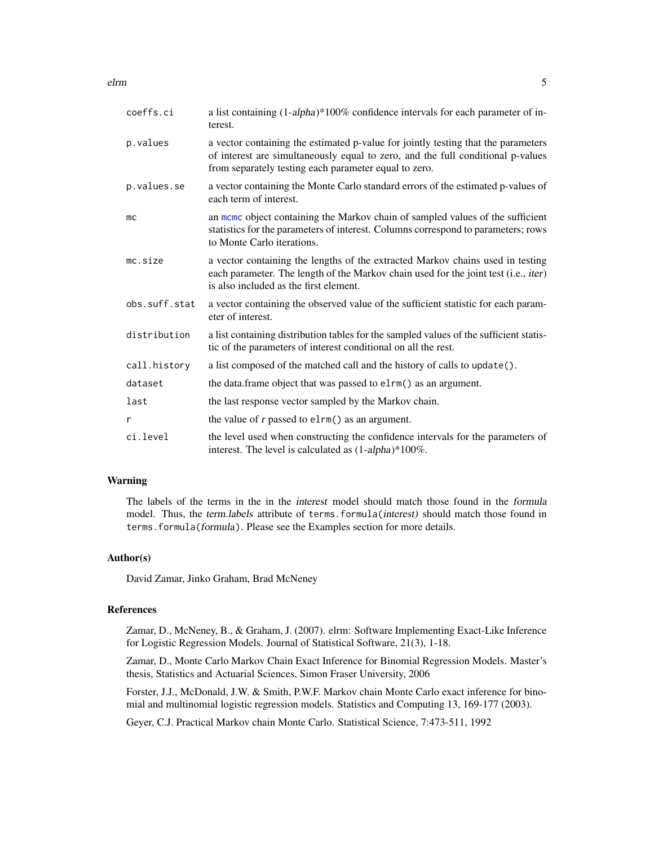<span id="page-4-0"></span>elrm 5

| coeffs.ci     | a list containing (1-alpha)*100% confidence intervals for each parameter of in-<br>terest.                                                                                                                                    |
|---------------|-------------------------------------------------------------------------------------------------------------------------------------------------------------------------------------------------------------------------------|
| p.values      | a vector containing the estimated p-value for jointly testing that the parameters<br>of interest are simultaneously equal to zero, and the full conditional p-values<br>from separately testing each parameter equal to zero. |
| p.values.se   | a vector containing the Monte Carlo standard errors of the estimated p-values of<br>each term of interest.                                                                                                                    |
| mc            | an mome object containing the Markov chain of sampled values of the sufficient<br>statistics for the parameters of interest. Columns correspond to parameters; rows<br>to Monte Carlo iterations.                             |
| mc.size       | a vector containing the lengths of the extracted Markov chains used in testing<br>each parameter. The length of the Markov chain used for the joint test (i.e., iter)<br>is also included as the first element.               |
| obs.suff.stat | a vector containing the observed value of the sufficient statistic for each param-<br>eter of interest.                                                                                                                       |
| distribution  | a list containing distribution tables for the sampled values of the sufficient statis-<br>tic of the parameters of interest conditional on all the rest.                                                                      |
| call.history  | a list composed of the matched call and the history of calls to update().                                                                                                                                                     |
| dataset       | the data.frame object that was passed to elrm() as an argument.                                                                                                                                                               |
| last          | the last response vector sampled by the Markov chain.                                                                                                                                                                         |
| r             | the value of $r$ passed to $elrm$ () as an argument.                                                                                                                                                                          |
| ci.level      | the level used when constructing the confidence intervals for the parameters of<br>interest. The level is calculated as $(1\text{-}alpha)*100\%$ .                                                                            |

# Warning

The labels of the terms in the in the interest model should match those found in the formula model. Thus, the term.labels attribute of terms.formula(interest) should match those found in terms.formula(formula). Please see the Examples section for more details.

#### Author(s)

David Zamar, Jinko Graham, Brad McNeney

### References

Zamar, D., McNeney, B., & Graham, J. (2007). elrm: Software Implementing Exact-Like Inference for Logistic Regression Models. Journal of Statistical Software, 21(3), 1-18.

Zamar, D., Monte Carlo Markov Chain Exact Inference for Binomial Regression Models. Master's thesis, Statistics and Actuarial Sciences, Simon Fraser University, 2006

Forster, J.J., McDonald, J.W. & Smith, P.W.F. Markov chain Monte Carlo exact inference for binomial and multinomial logistic regression models. Statistics and Computing 13, 169-177 (2003).

Geyer, C.J. Practical Markov chain Monte Carlo. Statistical Science, 7:473-511, 1992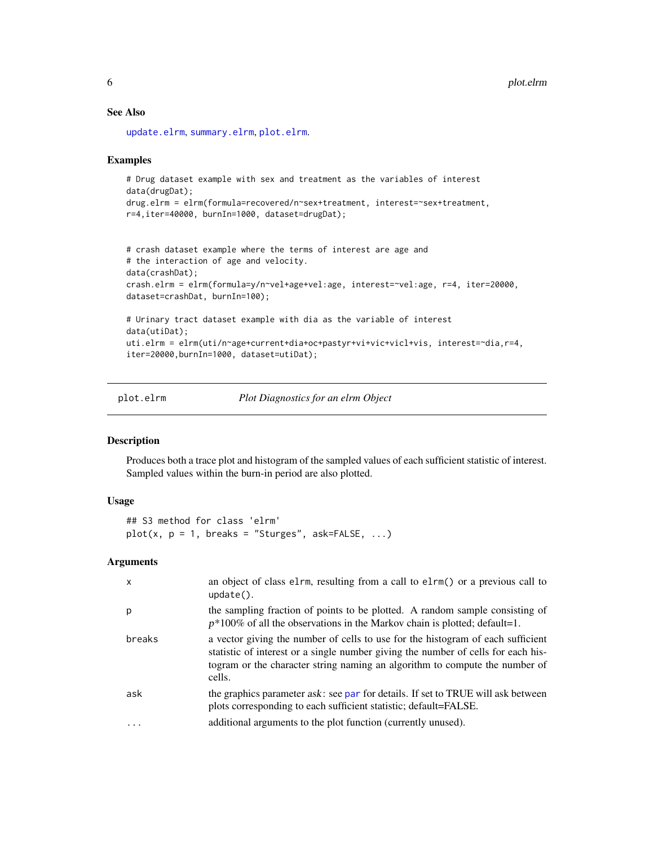# See Also

[update.elrm](#page-8-1), [summary.elrm](#page-6-1), [plot.elrm](#page-5-1).

#### Examples

```
# Drug dataset example with sex and treatment as the variables of interest
data(drugDat);
drug.elrm = elrm(formula=recovered/n~sex+treatment, interest=~sex+treatment,
r=4,iter=40000, burnIn=1000, dataset=drugDat);
```

```
# crash dataset example where the terms of interest are age and
# the interaction of age and velocity.
data(crashDat);
crash.elrm = elrm(formula=y/n~vel+age+vel:age, interest=~vel:age, r=4, iter=20000,
dataset=crashDat, burnIn=100);
# Urinary tract dataset example with dia as the variable of interest
data(utiDat);
uti.elrm = elrm(uti/n~age+current+dia+oc+pastyr+vi+vic+vicl+vis, interest=~dia,r=4,
iter=20000,burnIn=1000, dataset=utiDat);
```

```
plot.elrm Plot Diagnostics for an elrm Object
```
## Description

Produces both a trace plot and histogram of the sampled values of each sufficient statistic of interest. Sampled values within the burn-in period are also plotted.

#### Usage

```
## S3 method for class 'elrm'
plot(x, p = 1, breaks = "Sturges", ask=False, ...)
```
#### Arguments

| X         | an object of class elrm, resulting from a call to elrm() or a previous call to<br>$update()$ .                                                                                                                                                                |
|-----------|---------------------------------------------------------------------------------------------------------------------------------------------------------------------------------------------------------------------------------------------------------------|
| р         | the sampling fraction of points to be plotted. A random sample consisting of<br>$p*100\%$ of all the observations in the Markov chain is plotted; default=1.                                                                                                  |
| breaks    | a vector giving the number of cells to use for the histogram of each sufficient<br>statistic of interest or a single number giving the number of cells for each his-<br>togram or the character string naming an algorithm to compute the number of<br>cells. |
| ask       | the graphics parameter ask: see par for details. If set to TRUE will ask between<br>plots corresponding to each sufficient statistic; default=FALSE.                                                                                                          |
| $\ddotsc$ | additional arguments to the plot function (currently unused).                                                                                                                                                                                                 |

<span id="page-5-0"></span>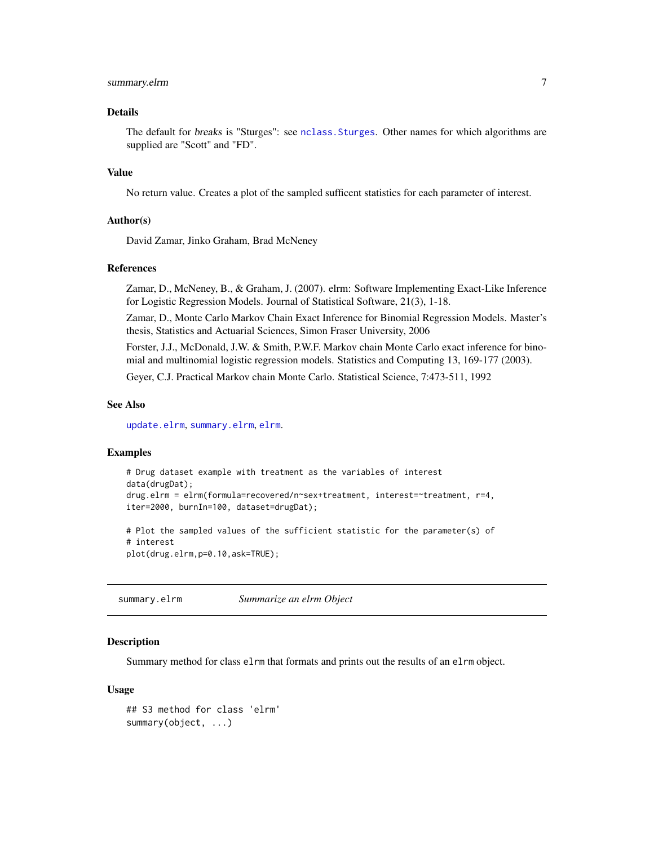# <span id="page-6-0"></span>summary.elrm 7

#### Details

The default for breaks is "Sturges": see [nclass.Sturges](#page-0-0). Other names for which algorithms are supplied are "Scott" and "FD".

#### Value

No return value. Creates a plot of the sampled sufficent statistics for each parameter of interest.

#### Author(s)

David Zamar, Jinko Graham, Brad McNeney

#### References

Zamar, D., McNeney, B., & Graham, J. (2007). elrm: Software Implementing Exact-Like Inference for Logistic Regression Models. Journal of Statistical Software, 21(3), 1-18.

Zamar, D., Monte Carlo Markov Chain Exact Inference for Binomial Regression Models. Master's thesis, Statistics and Actuarial Sciences, Simon Fraser University, 2006

Forster, J.J., McDonald, J.W. & Smith, P.W.F. Markov chain Monte Carlo exact inference for binomial and multinomial logistic regression models. Statistics and Computing 13, 169-177 (2003).

Geyer, C.J. Practical Markov chain Monte Carlo. Statistical Science, 7:473-511, 1992

#### See Also

[update.elrm](#page-8-1), [summary.elrm](#page-6-1), [elrm](#page-2-1).

#### Examples

```
# Drug dataset example with treatment as the variables of interest
data(drugDat);
drug.elrm = elrm(formula=recovered/n~sex+treatment, interest=~treatment, r=4,
iter=2000, burnIn=100, dataset=drugDat);
# Plot the sampled values of the sufficient statistic for the parameter(s) of
# interest
plot(drug.elrm,p=0.10,ask=TRUE);
```
<span id="page-6-1"></span>summary.elrm *Summarize an elrm Object*

#### **Description**

Summary method for class elrm that formats and prints out the results of an elrm object.

#### Usage

```
## S3 method for class 'elrm'
summary(object, ...)
```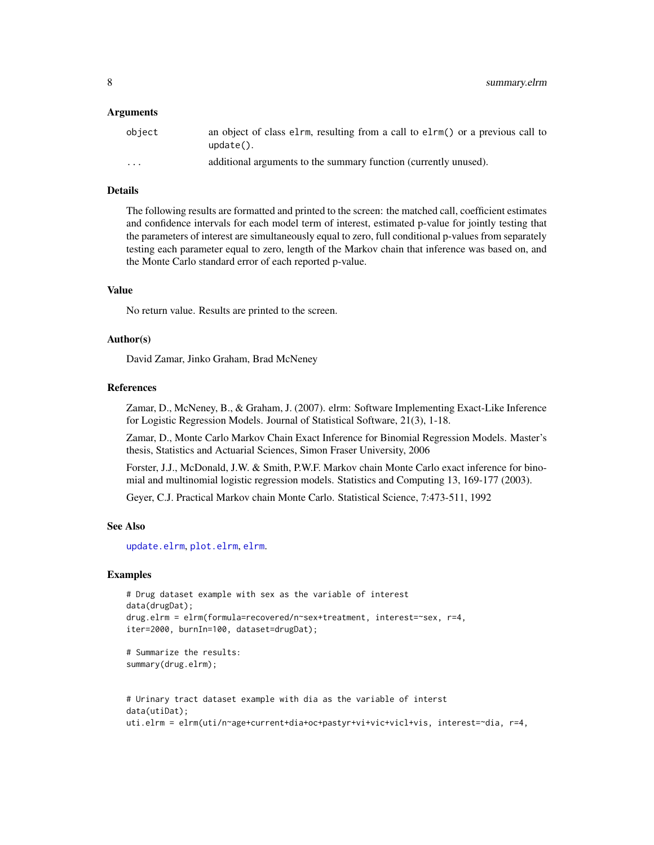#### <span id="page-7-0"></span>Arguments

| obiect | an object of class elm, resulting from a call to elm() or a previous call to<br>$update()$ . |
|--------|----------------------------------------------------------------------------------------------|
| .      | additional arguments to the summary function (currently unused).                             |

#### Details

The following results are formatted and printed to the screen: the matched call, coefficient estimates and confidence intervals for each model term of interest, estimated p-value for jointly testing that the parameters of interest are simultaneously equal to zero, full conditional p-values from separately testing each parameter equal to zero, length of the Markov chain that inference was based on, and the Monte Carlo standard error of each reported p-value.

#### Value

No return value. Results are printed to the screen.

#### Author(s)

David Zamar, Jinko Graham, Brad McNeney

#### References

Zamar, D., McNeney, B., & Graham, J. (2007). elrm: Software Implementing Exact-Like Inference for Logistic Regression Models. Journal of Statistical Software, 21(3), 1-18.

Zamar, D., Monte Carlo Markov Chain Exact Inference for Binomial Regression Models. Master's thesis, Statistics and Actuarial Sciences, Simon Fraser University, 2006

Forster, J.J., McDonald, J.W. & Smith, P.W.F. Markov chain Monte Carlo exact inference for binomial and multinomial logistic regression models. Statistics and Computing 13, 169-177 (2003).

Geyer, C.J. Practical Markov chain Monte Carlo. Statistical Science, 7:473-511, 1992

#### See Also

[update.elrm](#page-8-1), [plot.elrm](#page-5-1), [elrm](#page-2-1).

#### Examples

```
# Drug dataset example with sex as the variable of interest
data(drugDat);
drug.elrm = elrm(formula=recovered/n~sex+treatment, interest=~sex, r=4,
iter=2000, burnIn=100, dataset=drugDat);
# Summarize the results:
```

```
summary(drug.elrm);
```

```
# Urinary tract dataset example with dia as the variable of interst
data(utiDat);
uti.elrm = elrm(uti/n~age+current+dia+oc+pastyr+vi+vic+vicl+vis, interest=~dia, r=4,
```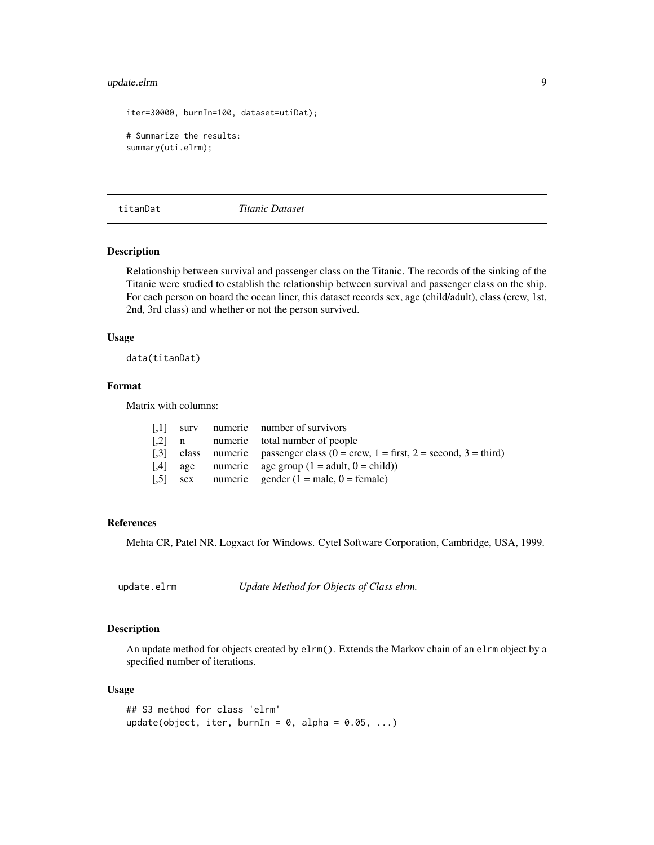# <span id="page-8-0"></span>update.elrm 9

```
iter=30000, burnIn=100, dataset=utiDat);
# Summarize the results:
summary(uti.elrm);
```
titanDat *Titanic Dataset*

#### Description

Relationship between survival and passenger class on the Titanic. The records of the sinking of the Titanic were studied to establish the relationship between survival and passenger class on the ship. For each person on board the ocean liner, this dataset records sex, age (child/adult), class (crew, 1st, 2nd, 3rd class) and whether or not the person survived.

#### Usage

data(titanDat)

### Format

Matrix with columns:

|  | [.1] surv numeric number of survivors                                                                         |
|--|---------------------------------------------------------------------------------------------------------------|
|  | [.2] n numeric total number of people                                                                         |
|  | [.3] class numeric passenger class $(0 = \text{crew}, 1 = \text{first}, 2 = \text{second}, 3 = \text{third})$ |
|  | [.4] age numeric age group $(1 = \text{adult}, 0 = \text{child})$                                             |
|  | [.5] sex numeric gender $(1 = \text{male}, 0 = \text{female})$                                                |

#### References

Mehta CR, Patel NR. Logxact for Windows. Cytel Software Corporation, Cambridge, USA, 1999.

<span id="page-8-1"></span>update.elrm *Update Method for Objects of Class elrm.*

#### Description

An update method for objects created by elrm(). Extends the Markov chain of an elrm object by a specified number of iterations.

#### Usage

```
## S3 method for class 'elrm'
update(object, iter, burnIn = 0, alpha = 0.05, ...)
```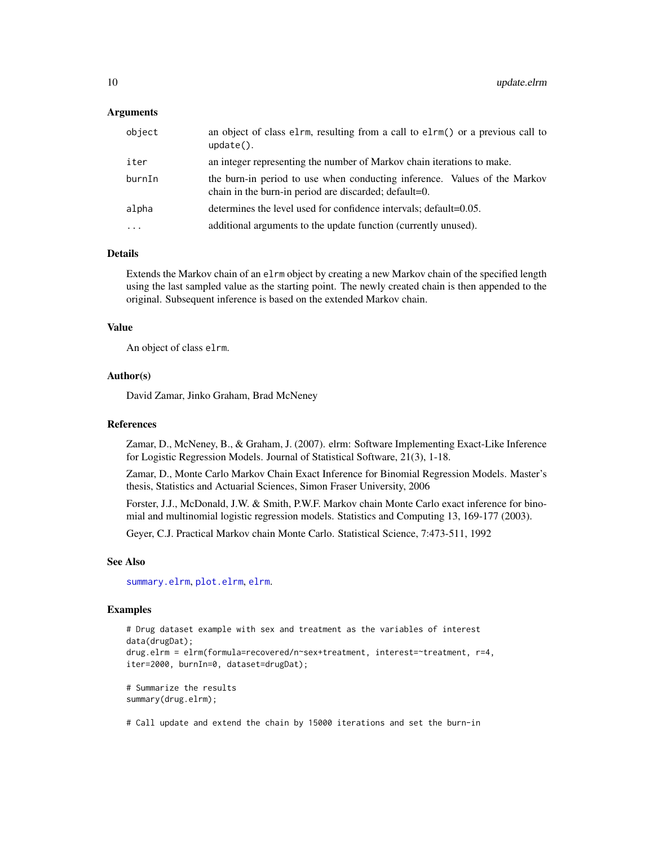#### <span id="page-9-0"></span>Arguments

| object   | an object of class elem, resulting from a call to elem() or a previous call to<br>$update()$ .                                     |
|----------|------------------------------------------------------------------------------------------------------------------------------------|
| iter     | an integer representing the number of Markov chain iterations to make.                                                             |
| burnIn   | the burn-in period to use when conducting inference. Values of the Markov<br>chain in the burn-in period are discarded; default=0. |
| alpha    | determines the level used for confidence intervals; default=0.05.                                                                  |
| $\cdots$ | additional arguments to the update function (currently unused).                                                                    |

# Details

Extends the Markov chain of an elrm object by creating a new Markov chain of the specified length using the last sampled value as the starting point. The newly created chain is then appended to the original. Subsequent inference is based on the extended Markov chain.

## Value

An object of class elrm.

#### Author(s)

David Zamar, Jinko Graham, Brad McNeney

#### References

Zamar, D., McNeney, B., & Graham, J. (2007). elrm: Software Implementing Exact-Like Inference for Logistic Regression Models. Journal of Statistical Software, 21(3), 1-18.

Zamar, D., Monte Carlo Markov Chain Exact Inference for Binomial Regression Models. Master's thesis, Statistics and Actuarial Sciences, Simon Fraser University, 2006

Forster, J.J., McDonald, J.W. & Smith, P.W.F. Markov chain Monte Carlo exact inference for binomial and multinomial logistic regression models. Statistics and Computing 13, 169-177 (2003).

Geyer, C.J. Practical Markov chain Monte Carlo. Statistical Science, 7:473-511, 1992

#### See Also

[summary.elrm](#page-6-1), [plot.elrm](#page-5-1), [elrm](#page-2-1).

#### Examples

```
# Drug dataset example with sex and treatment as the variables of interest
data(drugDat);
drug.elrm = elrm(formula=recovered/n~sex+treatment, interest=~treatment, r=4,
iter=2000, burnIn=0, dataset=drugDat);
```
# Summarize the results summary(drug.elrm);

# Call update and extend the chain by 15000 iterations and set the burn-in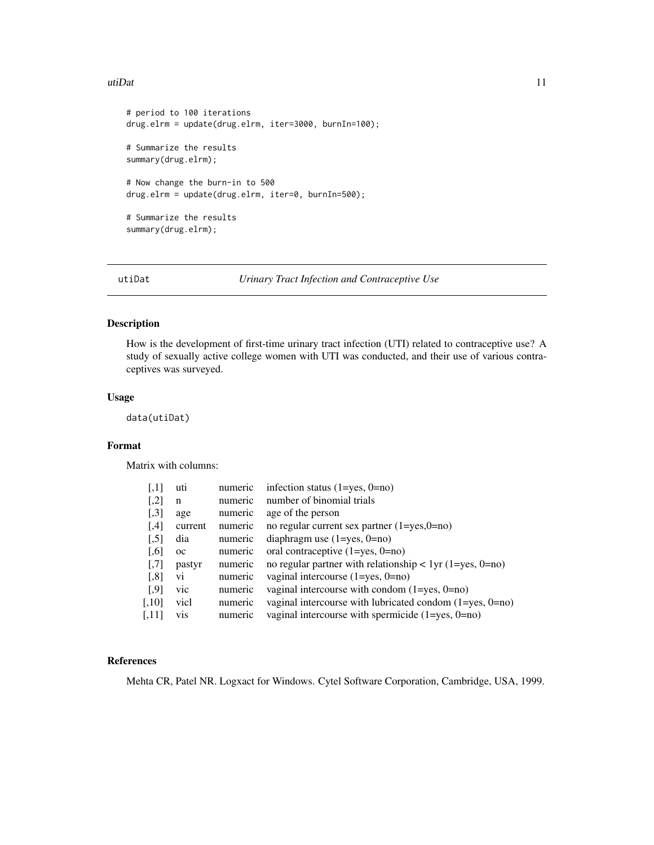#### <span id="page-10-0"></span>utiDat 11

```
# period to 100 iterations
drug.elrm = update(drug.elrm, iter=3000, burnIn=100);
# Summarize the results
summary(drug.elrm);
# Now change the burn-in to 500
drug.elrm = update(drug.elrm, iter=0, burnIn=500);
# Summarize the results
summary(drug.elrm);
```
utiDat *Urinary Tract Infection and Contraceptive Use*

# Description

How is the development of first-time urinary tract infection (UTI) related to contraceptive use? A study of sexually active college women with UTI was conducted, and their use of various contraceptives was surveyed.

#### Usage

data(utiDat)

#### Format

Matrix with columns:

| $\left[ 1,1\right]$  | uti         | numeric | infection status $(1 = yes, 0 = no)$                           |
|----------------------|-------------|---------|----------------------------------------------------------------|
| $[$                  | n           | numeric | number of binomial trials                                      |
| $[$                  | age         | numeric | age of the person                                              |
| [4]                  | current     | numeric | no regular current sex partner $(1 = yes, 0 = no)$             |
| $[$                  | dia         | numeric | diaphragm use $(1 = yes, 0 = no)$                              |
| $\left[ 0.6 \right]$ | $_{\rm oc}$ | numeric | oral contraceptive $(1 = yes, 0 = no)$                         |
| $[0.7]$              | pastyr      | numeric | no regular partner with relationship $\lt 1$ yr (1=yes, 0=no)  |
| $[$ 8]               | vi          | numeric | vaginal intercourse $(1 = yes, 0 = no)$                        |
| $[$ 9]               | vic         | numeric | vaginal intercourse with condom $(1 = yes, 0 = no)$            |
| $[0.10]$             | vicl        | numeric | vaginal intercourse with lubricated condom $(1 = yes, 0 = no)$ |
| [,11]                | vis         | numeric | vaginal intercourse with spermicide $(1 = yes, 0 = no)$        |

#### References

Mehta CR, Patel NR. Logxact for Windows. Cytel Software Corporation, Cambridge, USA, 1999.